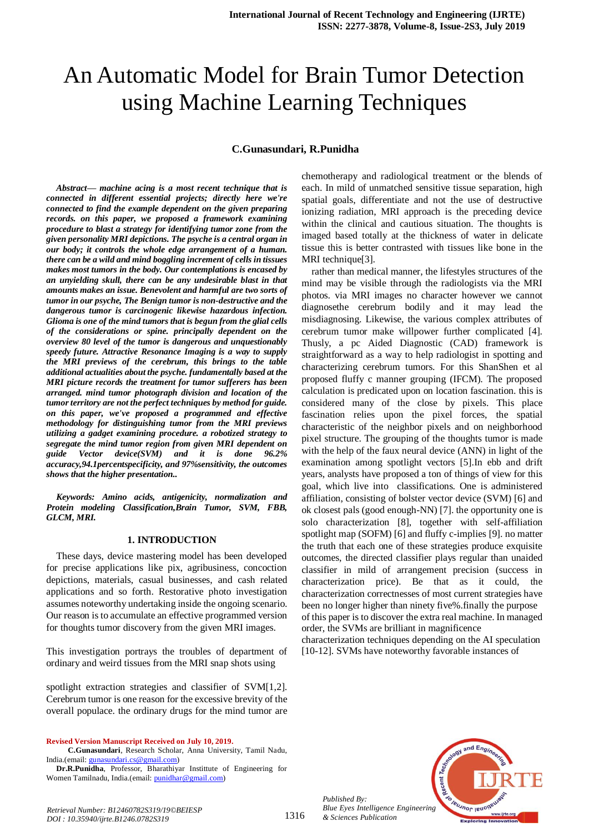# An Automatic Model for Brain Tumor Detection using Machine Learning Techniques

## **C.Gunasundari, R.Punidha**

*Abstract***—** *machine acing is a most recent technique that is connected in different essential projects; directly here we're connected to find the example dependent on the given preparing records. on this paper, we proposed a framework examining procedure to blast a strategy for identifying tumor zone from the given personality MRI depictions. The psyche is a central organ in our body; it controls the whole edge arrangement of a human. there can be a wild and mind boggling increment of cells in tissues makes most tumors in the body. Our contemplations is encased by an unyielding skull, there can be any undesirable blast in that amounts makes an issue. Benevolent and harmful are two sorts of tumor in our psyche, The Benign tumor is non-destructive and the dangerous tumor is carcinogenic likewise hazardous infection. Glioma is one of the mind tumors that is begun from the glial cells of the considerations or spine. principally dependent on the overview 80 level of the tumor is dangerous and unquestionably speedy future. Attractive Resonance Imaging is a way to supply the MRI previews of the cerebrum, this brings to the table additional actualities about the psyche. fundamentally based at the MRI picture records the treatment for tumor sufferers has been arranged. mind tumor photograph division and location of the tumor territory are not the perfect techniques by method for guide. on this paper, we've proposed a programmed and effective methodology for distinguishing tumor from the MRI previews utilizing a gadget examining procedure. a robotized strategy to segregate the mind tumor region from given MRI dependent on guide Vector device(SVM) and it is done 96.2% accuracy,94.1percentspecificity, and 97%sensitivity, the outcomes shows that the higher presentation..*

*Keywords: Amino acids, antigenicity, normalization and Protein modeling Classification,Brain Tumor, SVM, FBB, GLCM, MRI.*

#### **1. INTRODUCTION**

These days, device mastering model has been developed for precise applications like pix, agribusiness, concoction depictions, materials, casual businesses, and cash related applications and so forth. Restorative photo investigation assumes noteworthy undertaking inside the ongoing scenario. Our reason is to accumulate an effective programmed version for thoughts tumor discovery from the given MRI images.

This investigation portrays the troubles of department of ordinary and weird tissues from the MRI snap shots using

spotlight extraction strategies and classifier of SVM[1,2]. Cerebrum tumor is one reason for the excessive brevity of the overall populace. the ordinary drugs for the mind tumor are

**Revised Version Manuscript Received on July 10, 2019.**

**Dr.R.Punidha**, Professor, Bharathiyar Instittute of Engineering for Women Tamilnadu, India.(email: punidhar@gmail.com)

chemotherapy and radiological treatment or the blends of each. In mild of unmatched sensitive tissue separation, high spatial goals, differentiate and not the use of destructive ionizing radiation, MRI approach is the preceding device within the clinical and cautious situation. The thoughts is imaged based totally at the thickness of water in delicate tissue this is better contrasted with tissues like bone in the MRI technique[3].

rather than medical manner, the lifestyles structures of the mind may be visible through the radiologists via the MRI photos. via MRI images no character however we cannot diagnosethe cerebrum bodily and it may lead the misdiagnosing. Likewise, the various complex attributes of cerebrum tumor make willpower further complicated [4]. Thusly, a pc Aided Diagnostic (CAD) framework is straightforward as a way to help radiologist in spotting and characterizing cerebrum tumors. For this ShanShen et al proposed fluffy c manner grouping (IFCM). The proposed calculation is predicated upon on location fascination. this is considered many of the close by pixels. This place fascination relies upon the pixel forces, the spatial characteristic of the neighbor pixels and on neighborhood pixel structure. The grouping of the thoughts tumor is made with the help of the faux neural device (ANN) in light of the examination among spotlight vectors [5].In ebb and drift years, analysts have proposed a ton of things of view for this goal, which live into classifications. One is administered affiliation, consisting of bolster vector device (SVM) [6] and ok closest pals (good enough-NN) [7]. the opportunity one is solo characterization [8], together with self-affiliation spotlight map (SOFM) [6] and fluffy c-implies [9]. no matter the truth that each one of these strategies produce exquisite outcomes, the directed classifier plays regular than unaided classifier in mild of arrangement precision (success in characterization price). Be that as it could, the characterization correctnesses of most current strategies have been no longer higher than ninety five%.finally the purpose of this paper is to discover the extra real machine. In managed order, the SVMs are brilliant in magnificence

characterization techniques depending on the AI speculation [10-12]. SVMs have noteworthy favorable instances of



*Published By: Blue Eyes Intelligence Engineering & Sciences Publication* 

1316

**C.Gunasundari**, Research Scholar, Anna University, Tamil Nadu, India.(email: gunasundari.cs@gmail.com)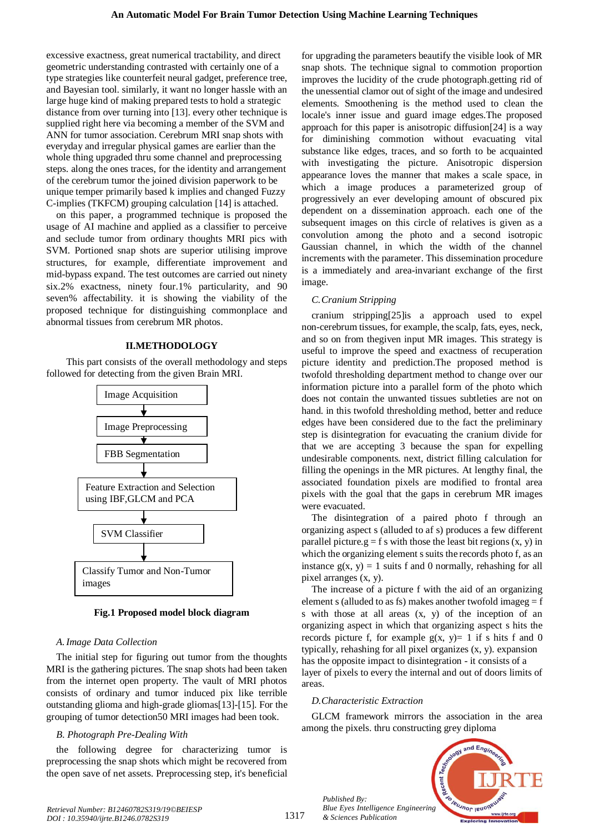excessive exactness, great numerical tractability, and direct geometric understanding contrasted with certainly one of a type strategies like counterfeit neural gadget, preference tree, and Bayesian tool. similarly, it want no longer hassle with an large huge kind of making prepared tests to hold a strategic distance from over turning into [13]. every other technique is supplied right here via becoming a member of the SVM and ANN for tumor association. Cerebrum MRI snap shots with everyday and irregular physical games are earlier than the whole thing upgraded thru some channel and preprocessing steps. along the ones traces, for the identity and arrangement of the cerebrum tumor the joined division paperwork to be unique temper primarily based k implies and changed Fuzzy C-implies (TKFCM) grouping calculation [14] is attached.

on this paper, a programmed technique is proposed the usage of AI machine and applied as a classifier to perceive and seclude tumor from ordinary thoughts MRI pics with SVM. Portioned snap shots are superior utilising improve structures, for example, differentiate improvement and mid-bypass expand. The test outcomes are carried out ninety six.2% exactness, ninety four.1% particularity, and 90 seven% affectability. it is showing the viability of the proposed technique for distinguishing commonplace and abnormal tissues from cerebrum MR photos.

#### **II.METHODOLOGY**

This part consists of the overall methodology and steps followed for detecting from the given Brain MRI.



**Fig.1 Proposed model block diagram**

## *A.Image Data Collection*

The initial step for figuring out tumor from the thoughts MRI is the gathering pictures. The snap shots had been taken from the internet open property. The vault of MRI photos consists of ordinary and tumor induced pix like terrible outstanding glioma and high-grade gliomas[13]-[15]. For the grouping of tumor detection50 MRI images had been took.

## *B. Photograph Pre-Dealing With*

the following degree for characterizing tumor is preprocessing the snap shots which might be recovered from the open save of net assets. Preprocessing step, it's beneficial for upgrading the parameters beautify the visible look of MR snap shots. The technique signal to commotion proportion improves the lucidity of the crude photograph.getting rid of the unessential clamor out of sight of the image and undesired elements. Smoothening is the method used to clean the locale's inner issue and guard image edges.The proposed approach for this paper is anisotropic diffusion[24] is a way for diminishing commotion without evacuating vital substance like edges, traces, and so forth to be acquainted with investigating the picture. Anisotropic dispersion appearance loves the manner that makes a scale space, in which a image produces a parameterized group of progressively an ever developing amount of obscured pix dependent on a dissemination approach. each one of the subsequent images on this circle of relatives is given as a convolution among the photo and a second isotropic Gaussian channel, in which the width of the channel increments with the parameter. This dissemination procedure is a immediately and area-invariant exchange of the first image.

#### *C.Cranium Stripping*

cranium stripping[25]is a approach used to expel non-cerebrum tissues, for example, the scalp, fats, eyes, neck, and so on from thegiven input MR images. This strategy is useful to improve the speed and exactness of recuperation picture identity and prediction.The proposed method is twofold thresholding department method to change over our information picture into a parallel form of the photo which does not contain the unwanted tissues subtleties are not on hand. in this twofold thresholding method, better and reduce edges have been considered due to the fact the preliminary step is disintegration for evacuating the cranium divide for that we are accepting 3 because the span for expelling undesirable components. next, district filling calculation for filling the openings in the MR pictures. At lengthy final, the associated foundation pixels are modified to frontal area pixels with the goal that the gaps in cerebrum MR images were evacuated.

The disintegration of a paired photo f through an organizing aspect s (alluded to af s) produces a few different parallel picture.g = f s with those the least bit regions  $(x, y)$  in which the organizing element s suits the records photo f, as an instance  $g(x, y) = 1$  suits f and 0 normally, rehashing for all pixel arranges (x, y).

The increase of a picture f with the aid of an organizing element s (alluded to as fs) makes another twofold imageg  $=$  f s with those at all areas (x, y) of the inception of an organizing aspect in which that organizing aspect s hits the records picture f, for example  $g(x, y)=1$  if s hits f and 0 typically, rehashing for all pixel organizes (x, y). expansion has the opposite impact to disintegration - it consists of a layer of pixels to every the internal and out of doors limits of areas.

#### *D.Characteristic Extraction*

*Published By:*

*& Sciences Publication* 

GLCM framework mirrors the association in the area among the pixels. thru constructing grey diploma

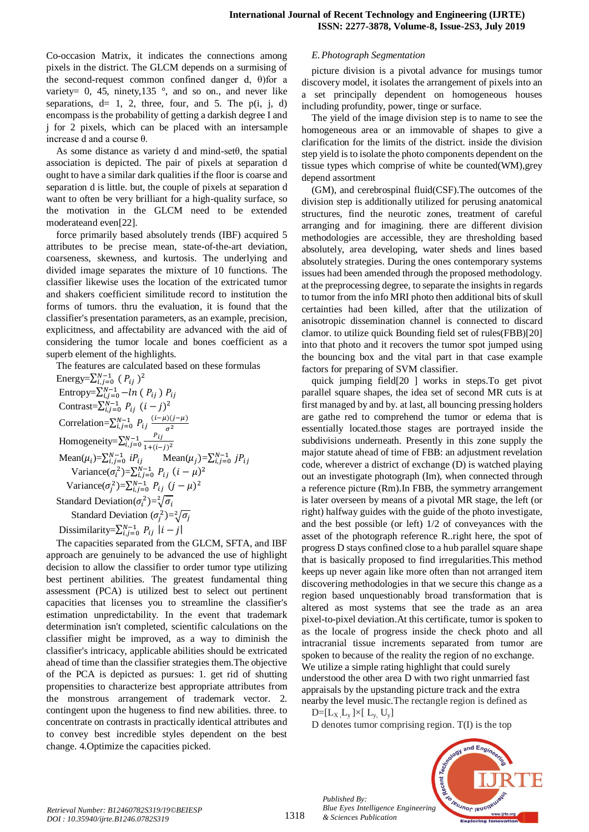Co-occasion Matrix, it indicates the connections among pixels in the district. The GLCM depends on a surmising of the second-request common confined danger d, θ)for a variety=  $0$ , 45, ninety, 135 $\degree$ , and so on., and never like separations,  $d= 1, 2$ , three, four, and 5. The p(i, j, d) encompass is the probability of getting a darkish degree I and j for 2 pixels, which can be placed with an intersample increase d and a course θ.

As some distance as variety d and mind-set $\theta$ , the spatial association is depicted. The pair of pixels at separation d ought to have a similar dark qualities if the floor is coarse and separation d is little. but, the couple of pixels at separation d want to often be very brilliant for a high-quality surface, so the motivation in the GLCM need to be extended moderateand even[22].

force primarily based absolutely trends (IBF) acquired 5 attributes to be precise mean, state-of-the-art deviation, coarseness, skewness, and kurtosis. The underlying and divided image separates the mixture of 10 functions. The classifier likewise uses the location of the extricated tumor and shakers coefficient similitude record to institution the forms of tumors. thru the evaluation, it is found that the classifier's presentation parameters, as an example, precision, explicitness, and affectability are advanced with the aid of considering the tumor locale and bones coefficient as a superb element of the highlights.

The features are calculated based on these formulas

Energy= $\sum_{i,j=0}^{N-1} (P_{ij})^2$ Entropy= $\sum_{i,j=0}^{N-1} -ln(P_{ij})$ Contrast= $\sum_{i,j=0}^{N-1} P_{ij}$   $(i-j)^2$ Correlation= $\sum_{i,j}^{N}$ ( σ Homogeneity= $\sum_{i=0}^{N-1} \frac{P}{1+(i-1)}$  $_{i,j=0}^{N-1} \frac{r_{ij}}{1+(i-j)^2}$ Mean $(\mu_i)=\sum_{i,j=0}^{N-1} iP_{ij}$  Mean $(\mu_j)=\sum_{i,j=0}^{N}$ Variance( $\sigma_i^2$ )= $\sum_{i,j=0}^{N-1} P_{ij}$   $(i - \mu)^2$ Variance( $\sigma_j^2$ )= $\sum_{i,j=0}^{N-1} P_{ij}$   $(j - \mu)^2$ Standard Deviation( $\sigma_i^2$ )= $\sqrt[2]{}$ Standard Deviation  $(\sigma_j^2) = \sqrt[2]{}$ Dissimilarity= $\sum_{i,j=0}^{N-1} P_{ij}$  |

The capacities separated from the GLCM, SFTA, and IBF approach are genuinely to be advanced the use of highlight decision to allow the classifier to order tumor type utilizing best pertinent abilities. The greatest fundamental thing assessment (PCA) is utilized best to select out pertinent capacities that licenses you to streamline the classifier's estimation unpredictability. In the event that trademark determination isn't completed, scientific calculations on the classifier might be improved, as a way to diminish the classifier's intricacy, applicable abilities should be extricated ahead of time than the classifier strategies them.The objective of the PCA is depicted as pursues: 1. get rid of shutting propensities to characterize best appropriate attributes from the monstrous arrangement of trademark vector. 2. contingent upon the hugeness to find new abilities. three. to concentrate on contrasts in practically identical attributes and to convey best incredible styles dependent on the best change. 4.Optimize the capacities picked.

## *E.Photograph Segmentation*

picture division is a pivotal advance for musings tumor discovery model, it isolates the arrangement of pixels into an a set principally dependent on homogeneous houses including profundity, power, tinge or surface.

The yield of the image division step is to name to see the homogeneous area or an immovable of shapes to give a clarification for the limits of the district. inside the division step yield is to isolate the photo components dependent on the tissue types which comprise of white be counted(WM),grey depend assortment

(GM), and cerebrospinal fluid(CSF).The outcomes of the division step is additionally utilized for perusing anatomical structures, find the neurotic zones, treatment of careful arranging and for imagining. there are different division methodologies are accessible, they are thresholding based absolutely, area developing, water sheds and lines based absolutely strategies. During the ones contemporary systems issues had been amended through the proposed methodology. at the preprocessing degree, to separate the insights in regards to tumor from the info MRI photo then additional bits of skull certainties had been killed, after that the utilization of anisotropic dissemination channel is connected to discard clamor. to utilize quick Bounding field set of rules(FBB)[20] into that photo and it recovers the tumor spot jumped using the bouncing box and the vital part in that case example factors for preparing of SVM classifier.

quick jumping field[20 ] works in steps.To get pivot parallel square shapes, the idea set of second MR cuts is at first managed by and by. at last, all bouncing pressing holders are gathe red to comprehend the tumor or edema that is essentially located.those stages are portrayed inside the subdivisions underneath. Presently in this zone supply the major statute ahead of time of FBB: an adjustment revelation code, wherever a district of exchange (D) is watched playing out an investigate photograph (Im), when connected through a reference picture (Rm).In FBB, the symmetry arrangement is later overseen by means of a pivotal MR stage, the left (or right) halfway guides with the guide of the photo investigate, and the best possible (or left) 1/2 of conveyances with the asset of the photograph reference R..right here, the spot of progress D stays confined close to a hub parallel square shape that is basically proposed to find irregularities.This method keeps up never again like more often than not arranged item discovering methodologies in that we secure this change as a region based unquestionably broad transformation that is altered as most systems that see the trade as an area pixel-to-pixel deviation.At this certificate, tumor is spoken to as the locale of progress inside the check photo and all intracranial tissue increments separated from tumor are spoken to because of the reality the region of no exchange. We utilize a simple rating highlight that could surely understood the other area D with two right unmarried fast appraisals by the upstanding picture track and the extra nearby the level music.The rectangle region is defined as

 $D=[L_X, L_y] \times [L_y, U_y]$ 

*Published By:*

*& Sciences Publication* 

D denotes tumor comprising region. T(I) is the top



*Retrieval Number: B12460782S319/19©BEIESP DOI : 10.35940/ijrte.B1246.0782S319*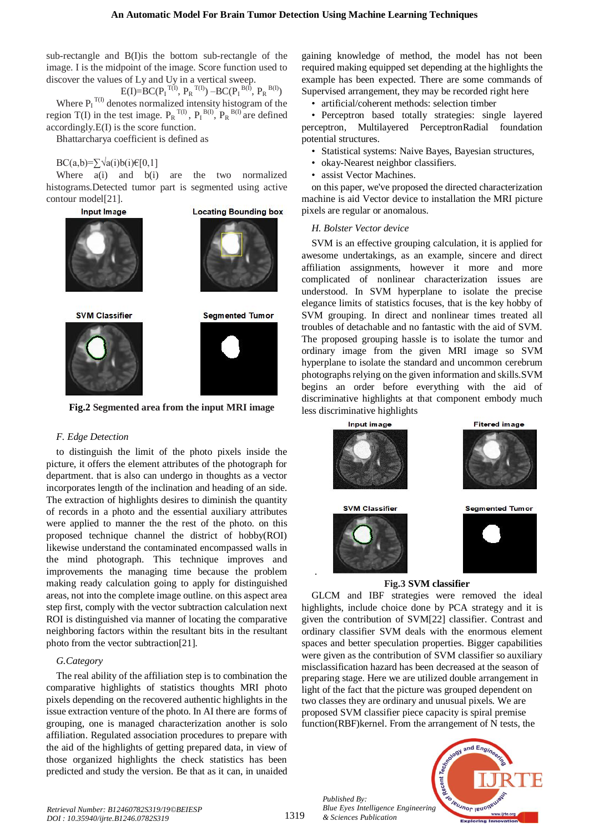sub-rectangle and B(I)is the bottom sub-rectangle of the image. I is the midpoint of the image. Score function used to discover the values of Ly and Uy in a vertical sweep.

 $E(I)=BC(P_I^{T(I)}, P_R^{T(I)}) - BC(P_I^{B(I)}, P_R^{B(I)})$ Where  $P_I^{T(I)}$  denotes normalized intensity histogram of the region T(I) in the test image.  $P_R^{T(I)}$ ,  $P_I^{B(I)}$ ,  $P_R^{B(I)}$  are defined accordingly.E(I) is the score function.

Bhattarcharya coefficient is defined as

#### $BC(a,b)=\sum \sqrt{a(i)b(i)}\in [0,1]$

Where a(i) and b(i) are the two normalized histograms.Detected tumor part is segmented using active contour model[21].





**SVM Classifier** 



**Segmented Tumor** 

**Fig.2 Segmented area from the input MRI image**

#### *F. Edge Detection*

to distinguish the limit of the photo pixels inside the picture, it offers the element attributes of the photograph for department. that is also can undergo in thoughts as a vector incorporates length of the inclination and heading of an side. The extraction of highlights desires to diminish the quantity of records in a photo and the essential auxiliary attributes were applied to manner the the rest of the photo. on this proposed technique channel the district of hobby(ROI) likewise understand the contaminated encompassed walls in the mind photograph. This technique improves and improvements the managing time because the problem making ready calculation going to apply for distinguished areas, not into the complete image outline. on this aspect area step first, comply with the vector subtraction calculation next ROI is distinguished via manner of locating the comparative neighboring factors within the resultant bits in the resultant photo from the vector subtraction[21].

## *G.Category*

The real ability of the affiliation step is to combination the comparative highlights of statistics thoughts MRI photo pixels depending on the recovered authentic highlights in the issue extraction venture of the photo. In AI there are forms of grouping, one is managed characterization another is solo affiliation. Regulated association procedures to prepare with the aid of the highlights of getting prepared data, in view of those organized highlights the check statistics has been predicted and study the version. Be that as it can, in unaided

gaining knowledge of method, the model has not been required making equipped set depending at the highlights the example has been expected. There are some commands of Supervised arrangement, they may be recorded right here

• artificial/coherent methods: selection timber

• Perceptron based totally strategies: single layered perceptron, Multilayered PerceptronRadial foundation potential structures.

- Statistical systems: Naive Bayes, Bayesian structures,
- okay-Nearest neighbor classifiers.
- assist Vector Machines.

on this paper, we've proposed the directed characterization machine is aid Vector device to installation the MRI picture pixels are regular or anomalous.

#### *H. Bolster Vector device*

SVM is an effective grouping calculation, it is applied for awesome undertakings, as an example, sincere and direct affiliation assignments, however it more and more complicated of nonlinear characterization issues are understood. In SVM hyperplane to isolate the precise elegance limits of statistics focuses, that is the key hobby of SVM grouping. In direct and nonlinear times treated all troubles of detachable and no fantastic with the aid of SVM. The proposed grouping hassle is to isolate the tumor and ordinary image from the given MRI image so SVM hyperplane to isolate the standard and uncommon cerebrum photographs relying on the given information and skills.SVM begins an order before everything with the aid of discriminative highlights at that component embody much less discriminative highlights



# **Fig.3 SVM classifier**

GLCM and IBF strategies were removed the ideal highlights, include choice done by PCA strategy and it is given the contribution of SVM[22] classifier. Contrast and ordinary classifier SVM deals with the enormous element spaces and better speculation properties. Bigger capabilities were given as the contribution of SVM classifier so auxiliary misclassification hazard has been decreased at the season of preparing stage. Here we are utilized double arrangement in light of the fact that the picture was grouped dependent on two classes they are ordinary and unusual pixels. We are proposed SVM classifier piece capacity is spiral premise function(RBF)kernel. From the arrangement of N tests, the

*Published By: Blue Eyes Intelligence Engineering & Sciences Publication* 



*Retrieval Number: B12460782S319/19©BEIESP DOI : 10.35940/ijrte.B1246.0782S319*

.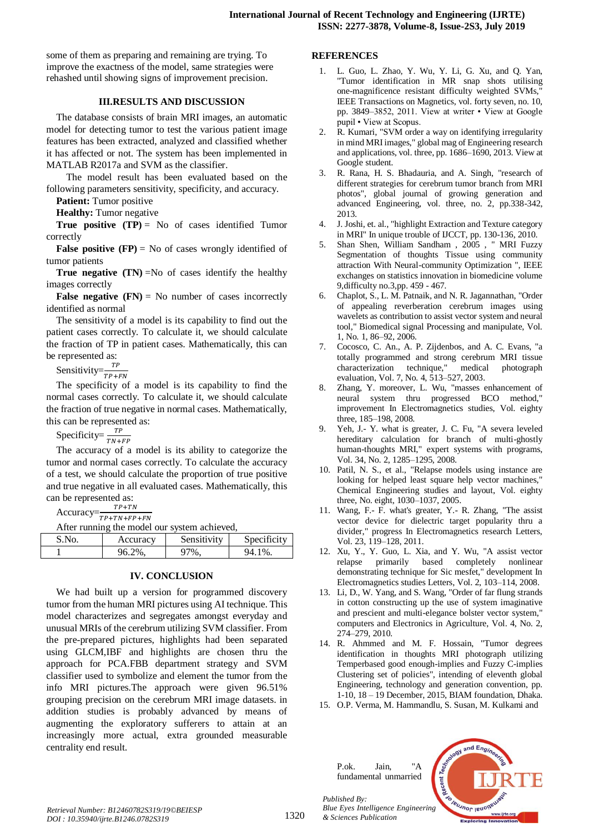some of them as preparing and remaining are trying. To improve the exactness of the model, same strategies were rehashed until showing signs of improvement precision.

#### **III.RESULTS AND DISCUSSION**

The database consists of brain MRI images, an automatic model for detecting tumor to test the various patient image features has been extracted, analyzed and classified whether it has affected or not. The system has been implemented in MATLAB R2017a and SVM as the classifier.

The model result has been evaluated based on the following parameters sensitivity, specificity, and accuracy.

**Patient:** Tumor positive

**Healthy:** Tumor negative

**True positive**  $(TP) = No$  **of cases identified Tumor** correctly

**False positive**  $(\mathbf{FP})$  **= No of cases wrongly identified of** tumor patients

**True negative (TN)** =No of cases identify the healthy images correctly

**False negative**  $(FN) = No$  **number of cases incorrectly** identified as normal

The sensitivity of a model is its capability to find out the patient cases correctly. To calculate it, we should calculate the fraction of TP in patient cases. Mathematically, this can be represented as:

Sensitivity= $\frac{T}{TP+}$ 

The specificity of a model is its capability to find the normal cases correctly. To calculate it, we should calculate the fraction of true negative in normal cases. Mathematically, this can be represented as:

Specificity= $\frac{1}{T}$ 

The accuracy of a model is its ability to categorize the tumor and normal cases correctly. To calculate the accuracy of a test, we should calculate the proportion of true positive and true negative in all evaluated cases. Mathematically, this can be represented as:<br> $TP+TN$ 

Accuracy= $\frac{T}{TP+T}$ 

After running the model our system achieved,

| S.No. | Accuracy | Sensitivity | Specificity |
|-------|----------|-------------|-------------|
|       | 96.2%,   | 97%.        | 94.1%.      |

## **IV. CONCLUSION**

We had built up a version for programmed discovery tumor from the human MRI pictures using AI technique. This model characterizes and segregates amongst everyday and unusual MRIs of the cerebrum utilizing SVM classifier. From the pre-prepared pictures, highlights had been separated using GLCM,IBF and highlights are chosen thru the approach for PCA.FBB department strategy and SVM classifier used to symbolize and element the tumor from the info MRI pictures.The approach were given 96.51% grouping precision on the cerebrum MRI image datasets. in addition studies is probably advanced by means of augmenting the exploratory sufferers to attain at an increasingly more actual, extra grounded measurable centrality end result.

# **REFERENCES**

- 1. L. Guo, L. Zhao, Y. Wu, Y. Li, G. Xu, and Q. Yan, "Tumor identification in MR snap shots utilising one-magnificence resistant difficulty weighted SVMs," IEEE Transactions on Magnetics, vol. forty seven, no. 10, pp. 3849–3852, 2011. View at writer • View at Google pupil • View at Scopus.
- 2. R. Kumari, "SVM order a way on identifying irregularity in mind MRI images," global mag of Engineering research and applications, vol. three, pp. 1686–1690, 2013. View at Google student.
- 3. R. Rana, H. S. Bhadauria, and A. Singh, "research of different strategies for cerebrum tumor branch from MRI photos", global journal of growing generation and advanced Engineering, vol. three, no. 2, pp.338-342, 2013.
- 4. J. Joshi, et. al., "highlight Extraction and Texture category in MRI" In unique trouble of IJCCT, pp. 130-136, 2010.
- 5. Shan Shen, William Sandham , 2005 , " MRI Fuzzy Segmentation of thoughts Tissue using community attraction With Neural-community Optimization ", IEEE exchanges on statistics innovation in biomedicine volume 9,difficulty no.3,pp. 459 - 467.
- 6. Chaplot, S., L. M. Patnaik, and N. R. Jagannathan, "Order of appealing reverberation cerebrum images using wavelets as contribution to assist vector system and neural tool," Biomedical signal Processing and manipulate, Vol. 1, No. 1, 86–92, 2006.
- 7. Cocosco, C. An., A. P. Zijdenbos, and A. C. Evans, "a totally programmed and strong cerebrum MRI tissue characterization technique," medical photograph evaluation, Vol. 7, No. 4, 513–527, 2003.
- 8. Zhang, Y. moreover, L. Wu, "masses enhancement of neural system thru progressed BCO method," improvement In Electromagnetics studies, Vol. eighty three, 185–198, 2008.
- 9. Yeh, J.- Y. what is greater, J. C. Fu, "A severa leveled hereditary calculation for branch of multi-ghostly human-thoughts MRI," expert systems with programs, Vol. 34, No. 2, 1285–1295, 2008.
- 10. Patil, N. S., et al., "Relapse models using instance are looking for helped least square help vector machines," Chemical Engineering studies and layout, Vol. eighty three, No. eight, 1030–1037, 2005.
- 11. Wang, F.- F. what's greater, Y.- R. Zhang, "The assist vector device for dielectric target popularity thru a divider," progress In Electromagnetics research Letters, Vol. 23, 119–128, 2011.
- 12. Xu, Y., Y. Guo, L. Xia, and Y. Wu, "A assist vector relapse primarily based completely nonlinear demonstrating technique for Sic mesfet," development In Electromagnetics studies Letters, Vol. 2, 103–114, 2008.
- 13. Li, D., W. Yang, and S. Wang, "Order of far flung strands in cotton constructing up the use of system imaginative and prescient and multi-elegance bolster vector system," computers and Electronics in Agriculture, Vol. 4, No. 2, 274–279, 2010.
- 14. R. Ahmmed and M. F. Hossain, "Tumor degrees identification in thoughts MRI photograph utilizing Temperbased good enough-implies and Fuzzy C-implies Clustering set of policies", intending of eleventh global Engineering, technology and generation convention, pp. 1-10, 18 – 19 December, 2015, BIAM foundation, Dhaka.
- 15. O.P. Verma, M. Hammandlu, S. Susan, M. Kulkami and

*Published By:*

*& Sciences Publication* 



*Retrieval Number: B12460782S319/19©BEIESP DOI : 10.35940/ijrte.B1246.0782S319*

1320